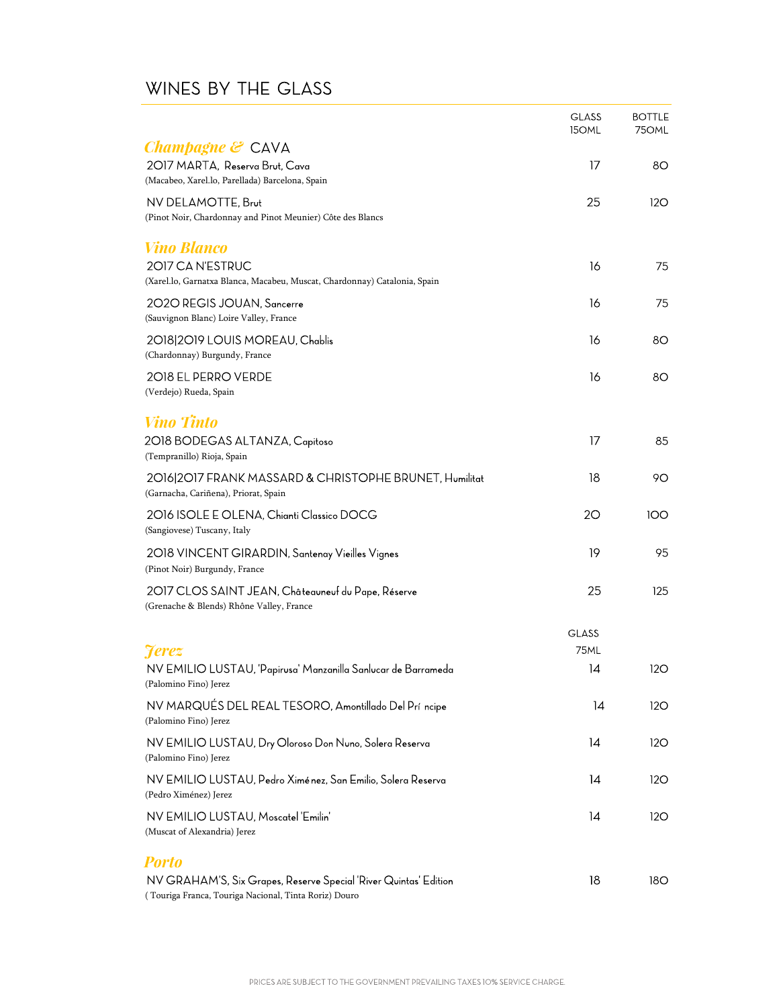## WINES BY THE GLASS

|                                                                                        | <b>GLASS</b><br>150ML | <b>BOTTLE</b><br>75OML |
|----------------------------------------------------------------------------------------|-----------------------|------------------------|
| <b><i>Champagne</i></b> $\mathcal{E}$ CAVA                                             |                       |                        |
| 2017 MARTA, Reserva Brut, Cava<br>(Macabeo, Xarel.lo, Parellada) Barcelona, Spain      | 17                    | 80                     |
| NV DELAMOTTE, Brut                                                                     | 25                    | 120                    |
| (Pinot Noir, Chardonnay and Pinot Meunier) Côte des Blancs                             |                       |                        |
| <b>Vino Blanco</b>                                                                     |                       |                        |
| 2017 CA N'ESTRUC                                                                       | 16                    | 75                     |
| (Xarel.lo, Garnatxa Blanca, Macabeu, Muscat, Chardonnay) Catalonia, Spain              |                       |                        |
| 2020 REGIS JOUAN, Sancerre                                                             | 16                    | 75                     |
| (Sauvignon Blanc) Loire Valley, France                                                 |                       |                        |
| 2018 2019 LOUIS MOREAU, Chablis<br>(Chardonnay) Burgundy, France                       | 16                    | 80                     |
| 2018 EL PERRO VERDE                                                                    | 16                    | 80                     |
| (Verdejo) Rueda, Spain                                                                 |                       |                        |
| <b>Vino Tinto</b>                                                                      |                       |                        |
| 2018 BODEGAS ALTANZA, Capitoso                                                         | 17                    | 85                     |
| (Tempranillo) Rioja, Spain                                                             |                       |                        |
| 2016 2017 FRANK MASSARD & CHRISTOPHE BRUNET, Humilitat                                 | 18                    | 90                     |
| (Garnacha, Cariñena), Priorat, Spain                                                   |                       |                        |
| 2016 ISOLE E OLENA, Chianti Classico DOCG<br>(Sangiovese) Tuscany, Italy               | 20                    | 100                    |
| 2018 VINCENT GIRARDIN, Santenay Vieilles Vignes<br>(Pinot Noir) Burgundy, France       | 19                    | 95                     |
| 2017 CLOS SAINT JEAN, Châteauneuf du Pape, Réserve                                     | 25                    | 125                    |
| (Grenache & Blends) Rhône Valley, France                                               |                       |                        |
|                                                                                        | <b>GLASS</b>          |                        |
| <b>Ferez</b>                                                                           | 75ML                  |                        |
| NV EMILIO LUSTAU, 'Papirusa' Manzanilla Sanlucar de Barrameda<br>(Palomino Fino) Jerez | 14                    | 12O                    |
| NV MARQUÉS DEL REAL TESORO, Amontillado Del Prí ncipe<br>(Palomino Fino) Jerez         | 14                    | 120                    |
| NV EMILIO LUSTAU, Dry Oloroso Don Nuno, Solera Reserva<br>(Palomino Fino) Jerez        | 14                    | 12O                    |
| NV EMILIO LUSTAU, Pedro Ximénez, San Emilio, Solera Reserva<br>(Pedro Ximénez) Jerez   | 14                    | 12O                    |
| NV EMILIO LUSTAU, Moscatel 'Emilin'                                                    | 14                    | 12O                    |
| (Muscat of Alexandria) Jerez                                                           |                       |                        |
| <b>Porto</b>                                                                           |                       |                        |
| NV GRAHAM'S, Six Grapes, Reserve Special 'River Quintas' Edition                       | 18                    | 180                    |
| (Touriga Franca, Touriga Nacional, Tinta Roriz) Douro                                  |                       |                        |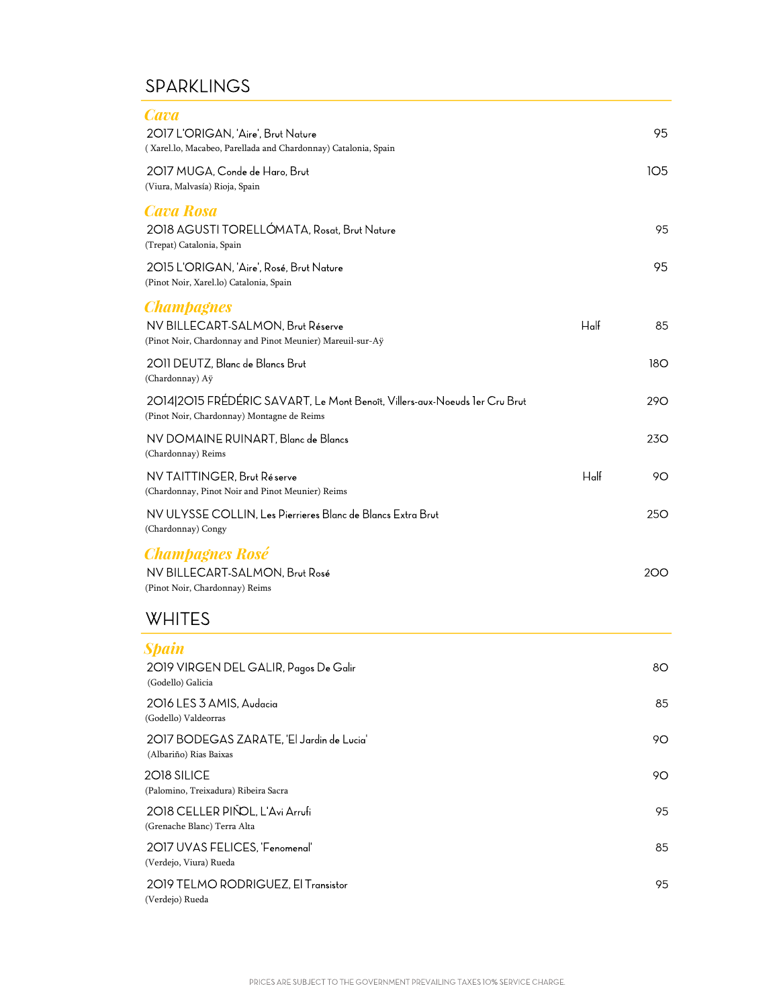### **SPARKLINGS**

(Palomino, Treixadura) Ribeira Sacra

2018 CELLER PIÑOL, L'Avi Arrufi

2017 UVAS FELICES, 'Fenomenal'

2019 TELMO RODRIGUEZ, El Transistor

(Grenache Blanc) Terra Alta

(Verdejo, Viura) Rueda

(Verdejo) Rueda

2018 SILICE

| <b>Cava</b><br>2017 L'ORIGAN, 'Aire', Brut Nature<br>(Xarel.lo, Macabeo, Parellada and Chardonnay) Catalonia, Spain      |         | 95              |
|--------------------------------------------------------------------------------------------------------------------------|---------|-----------------|
| 2017 MUGA, Conde de Haro, Brut<br>(Viura, Malvasía) Rioja, Spain                                                         |         | 105             |
| <b>Cava Rosa</b><br>2018 AGUSTI TORELLÓMATA, Rosat, Brut Nature<br>(Trepat) Catalonia, Spain                             |         | 95              |
| 2015 L'ORIGAN, 'Aire', Rosé, Brut Nature<br>(Pinot Noir, Xarel.lo) Catalonia, Spain                                      |         | 95              |
| <b>Champagnes</b><br>NV BILLECART-SALMON, Brut Réserve<br>(Pinot Noir, Chardonnay and Pinot Meunier) Mareuil-sur-Aÿ      | $H$ alf | 85              |
| 2O11 DEUTZ, Blanc de Blancs Brut<br>(Chardonnay) Aÿ                                                                      |         | 180             |
| 2014 2015 FRÉDÉRIC SAVART, Le Mont Benoît, Villers-aux-Noeuds 1er Cru Brut<br>(Pinot Noir, Chardonnay) Montagne de Reims |         | <b>290</b>      |
| NV DOMAINE RUINART, Blanc de Blancs<br>(Chardonnay) Reims                                                                |         | 23 <sub>O</sub> |
| NV TAITTINGER, Brut Réserve<br>(Chardonnay, Pinot Noir and Pinot Meunier) Reims                                          | $H$ alf | 90              |
| NV ULYSSE COLLIN. Les Pierrieres Blanc de Blancs Extra Brut<br>(Chardonnay) Congy                                        |         | 25 <sub>O</sub> |
| <b>Champagnes Rosé</b><br>NV BILLECART-SALMON, Brut Rosé<br>(Pinot Noir, Chardonnay) Reims                               |         | <b>200</b>      |
| WHITES                                                                                                                   |         |                 |
| <b>Spain</b><br>2019 VIRGEN DEL GALIR, Pagos De Galir<br>(Godello) Galicia                                               |         | 80              |
| 2016 LES 3 AMIS, Audacia<br>(Godello) Valdeorras                                                                         |         | 85              |
| 2017 BODEGAS ZARATE, 'El Jardin de Lucia'<br>(Albariño) Rias Baixas                                                      |         | 90              |

90

95

85

95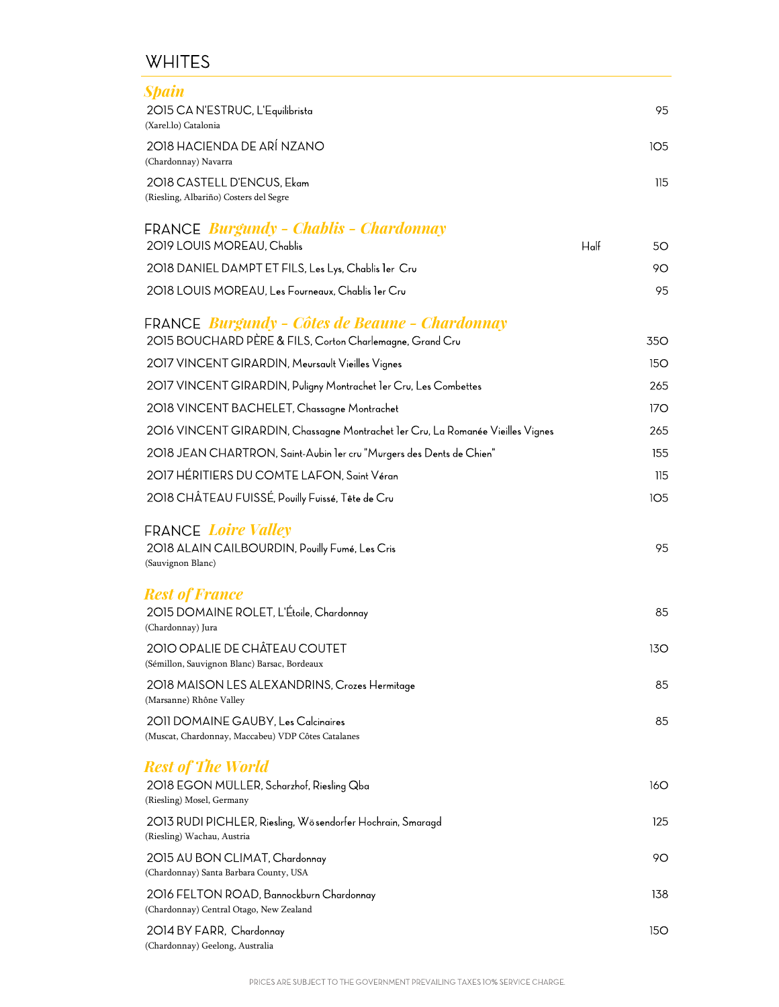### **WHITES**

| <b>Spain</b>                                                                                       |         |            |
|----------------------------------------------------------------------------------------------------|---------|------------|
| 2015 CA N'ESTRUC, L'Equilibrista<br>(Xarel.lo) Catalonia                                           |         | 95         |
| 2018 HACIENDA DE ARÍ NZANO<br>(Chardonnay) Navarra                                                 |         | <b>105</b> |
| 2018 CASTELL D'ENCUS, Ekam<br>(Riesling, Albariño) Costers del Segre                               |         | 115        |
| FRANCE Burgundy - Chablis - Chardonnay                                                             |         |            |
| 2019 LOUIS MOREAU, Chablis                                                                         | $H$ alf | 50         |
| 2018 DANIEL DAMPT ET FILS, Les Lys, Chablis ler Cru                                                |         | 90         |
| 2018 LOUIS MOREAU, Les Fourneaux, Chablis 1er Cru                                                  |         | 95         |
| <b>FRANCE</b> Burgundy - Côtes de Beaune - Chardonnay                                              |         |            |
| 2015 BOUCHARD PÈRE & FILS, Corton Charlemagne, Grand Cru                                           |         | <b>350</b> |
| 2017 VINCENT GIRARDIN, Meursault Vieilles Vignes                                                   |         | <b>150</b> |
| 2017 VINCENT GIRARDIN, Puligny Montrachet 1er Cru, Les Combettes                                   |         | 265        |
| 2018 VINCENT BACHELET, Chassagne Montrachet                                                        |         | 17O        |
| 2016 VINCENT GIRARDIN, Chassagne Montrachet 1er Cru, La Romanée Vieilles Vignes                    |         | 265        |
| 2018 JEAN CHARTRON, Saint-Aubin ler cru "Murgers des Dents de Chien"                               |         | 155        |
| 2017 HÉRITIERS DU COMTE LAFON, Saint Véran                                                         |         | 115        |
| 2018 CHÂTEAU FUISSÉ, Pouilly Fuissé, Tête de Cru                                                   |         | <b>105</b> |
| <b>FRANCE Loire Valley</b><br>2018 ALAIN CAILBOURDIN, Pouilly Fumé, Les Cris<br>(Sauvignon Blanc)  |         | 95         |
| <b>Rest of France</b><br>2015 DOMAINE ROLET, L'Étoile, Chardonnay<br>(Chardonnay) Jura             |         | 85         |
| 2010 OPALIE DE CHÂTEAU COUTET<br>(Sémillon, Sauvignon Blanc) Barsac, Bordeaux                      |         | 13O        |
| 2018 MAISON LES ALEXANDRINS, Crozes Hermitage<br>(Marsanne) Rhône Valley                           |         | 85         |
| 2011 DOMAINE GAUBY, Les Calcinaires<br>(Muscat, Chardonnay, Maccabeu) VDP Côtes Catalanes          |         | 85         |
| <b>Rest of The World</b><br>2018 EGON MÜLLER, Scharzhof, Riesling Qba<br>(Riesling) Mosel, Germany |         | 16O        |
| 2013 RUDI PICHLER, Riesling, Wösendorfer Hochrain, Smaragd<br>(Riesling) Wachau, Austria           |         | 125        |
| 2015 AU BON CLIMAT, Chardonnay<br>(Chardonnay) Santa Barbara County, USA                           |         | 90         |
| 2016 FELTON ROAD, Bannockburn Chardonnay<br>(Chardonnay) Central Otago, New Zealand                |         | 138        |
| 2014 BY FARR, Chardonnay<br>(Chardonnay) Geelong, Australia                                        |         | 15O        |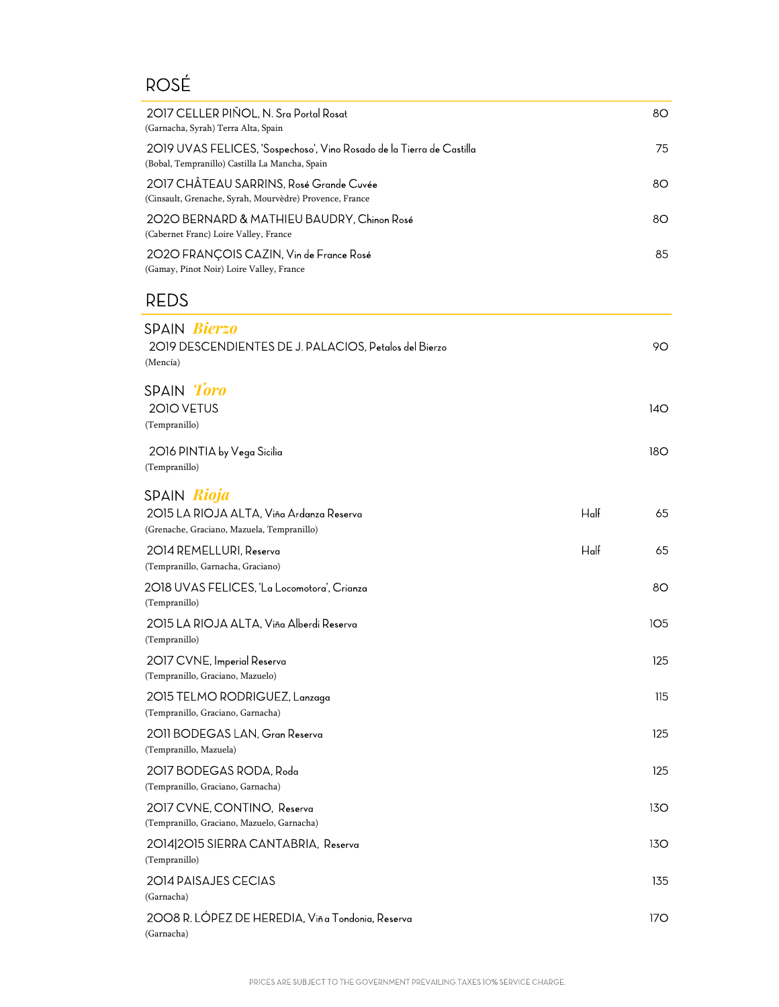# ROSÉ

| 2017 CELLER PIÑOL, N. Sra Portal Rosat<br>(Garnacha, Syrah) Terra Alta, Spain                                           |         | 80         |
|-------------------------------------------------------------------------------------------------------------------------|---------|------------|
| 2019 UVAS FELICES, 'Sospechoso', Vino Rosado de la Tierra de Castilla<br>(Bobal, Tempranillo) Castilla La Mancha, Spain |         | 75         |
| 2017 CHÂTEAU SARRINS, Rosé Grande Cuvée<br>(Cinsault, Grenache, Syrah, Mourvèdre) Provence, France                      |         | 80         |
| 2020 BERNARD & MATHIEU BAUDRY, Chinon Rosé<br>(Cabernet Franc) Loire Valley, France                                     |         | 80         |
| 2020 FRANÇOIS CAZIN, Vin de France Rosé<br>(Gamay, Pinot Noir) Loire Valley, France                                     |         | 85         |
| <b>REDS</b>                                                                                                             |         |            |
| SPAIN Bierzo<br>2019 DESCENDIENTES DE J. PALACIOS, Petalos del Bierzo<br>(Mencía)                                       |         | 90         |
| SPAIN Toro<br>2010 VETUS<br>(Tempranillo)                                                                               |         | 14O        |
| 2016 PINTIA by Vega Sicilia<br>(Tempranillo)                                                                            |         | <b>180</b> |
| SPAIN Rioja<br>2015 LA RIOJA ALTA, Viña Ardanza Reserva<br>(Grenache, Graciano, Mazuela, Tempranillo)                   | $H$ alf | 65         |
| 2014 REMELLURI, Reserva<br>(Tempranillo, Garnacha, Graciano)                                                            | $H$ alf | 65         |
| 2018 UVAS FELICES, 'La Locomotora', Crianza<br>(Tempranillo)                                                            |         | 80         |
| 2015 LA RIOJA ALTA, Viña Alberdi Reserva<br>(Tempranillo)                                                               |         | 105        |
| 2017 CVNE, Imperial Reserva<br>(Tempranillo, Graciano, Mazuelo)                                                         |         | 125        |
| 2015 TELMO RODRIGUEZ, Lanzaga<br>(Tempranillo, Graciano, Garnacha)                                                      |         | 115        |
| 2011 BODEGAS LAN, Gran Reserva<br>(Tempranillo, Mazuela)                                                                |         | 125        |
| 2017 BODEGAS RODA, Roda<br>(Tempranillo, Graciano, Garnacha)                                                            |         | 125        |
| 2017 CVNE, CONTINO, Reserva<br>(Tempranillo, Graciano, Mazuelo, Garnacha)                                               |         | 13O        |
| 2014 2015 SIERRA CANTABRIA, Reserva<br>(Tempranillo)                                                                    |         | 13O        |
| 2014 PAISAJES CECIAS<br>(Garnacha)                                                                                      |         | 135        |
| 2008 R. LÓPEZ DE HEREDIA, Viñ a Tondonia, Reserva<br>(Garnacha)                                                         |         | 17O        |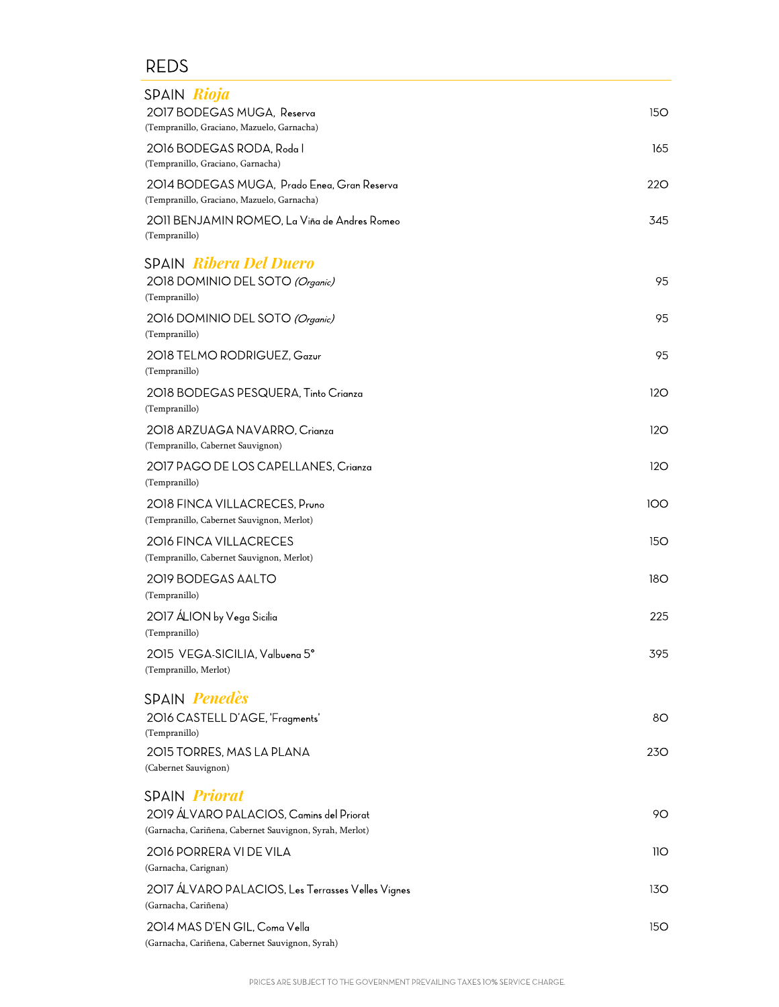| SPAIN Rioja                                                                                         |            |
|-----------------------------------------------------------------------------------------------------|------------|
| 2017 BODEGAS MUGA, Reserva<br>(Tempranillo, Graciano, Mazuelo, Garnacha)                            | 15O        |
| 2016 BODEGAS RODA, Roda I                                                                           | 165        |
| (Tempranillo, Graciano, Garnacha)                                                                   |            |
| 2014 BODEGAS MUGA, Prado Enea, Gran Reserva<br>(Tempranillo, Graciano, Mazuelo, Garnacha)           | 220        |
| 2011 BENJAMIN ROMEO, La Viña de Andres Romeo<br>(Tempranillo)                                       | 345        |
| <b>SPAIN Ribera Del Duero</b>                                                                       |            |
| 2018 DOMINIO DEL SOTO (Organic)<br>(Tempranillo)                                                    | 95         |
| 2016 DOMINIO DEL SOTO (Organic)<br>(Tempranillo)                                                    | 95         |
| 2018 TELMO RODRIGUEZ, Gazur<br>(Tempranillo)                                                        | 95         |
| 2018 BODEGAS PESQUERA, Tinto Crianza<br>(Tempranillo)                                               | 12O        |
| 2018 ARZUAGA NAVARRO, Crianza<br>(Tempranillo, Cabernet Sauvignon)                                  | 12O        |
| 2017 PAGO DE LOS CAPELLANES, Crianza<br>(Tempranillo)                                               | 12O        |
| 2018 FINCA VILLACRECES, Pruno<br>(Tempranillo, Cabernet Sauvignon, Merlot)                          | 100        |
| 2016 FINCA VILLACRECES<br>(Tempranillo, Cabernet Sauvignon, Merlot)                                 | <b>150</b> |
| 2019 BODEGAS AALTO<br>(Tempranillo)                                                                 | 18O        |
| 2017 ÁLION by Vega Sicilia<br>(Tempranillo)                                                         | 225        |
| 2015 VEGA-SICILIA, Valbuena 5°<br>(Tempranillo, Merlot)                                             | 395        |
| SPAIN <i>Penedès</i>                                                                                |            |
| 2016 CASTELL D'AGE, 'Fragments'<br>(Tempranillo)                                                    | 80         |
| 2015 TORRES, MAS LA PLANA                                                                           | <b>230</b> |
| (Cabernet Sauvignon)                                                                                |            |
| <b>SPAIN Priorat</b>                                                                                |            |
| 2019 ÁLVARO PALACIOS, Camins del Priorat<br>(Garnacha, Cariñena, Cabernet Sauvignon, Syrah, Merlot) | 90         |
| 2016 PORRERA VI DE VILA<br>(Garnacha, Carignan)                                                     | 11O        |
| 2017 ÁLVARO PALACIOS, Les Terrasses Velles Vignes<br>(Garnacha, Cariñena)                           | 13O        |
| 2014 MAS D'EN GIL, Coma Vella<br>(Garnacha, Cariñena, Cabernet Sauvignon, Syrah)                    | 15O        |
|                                                                                                     |            |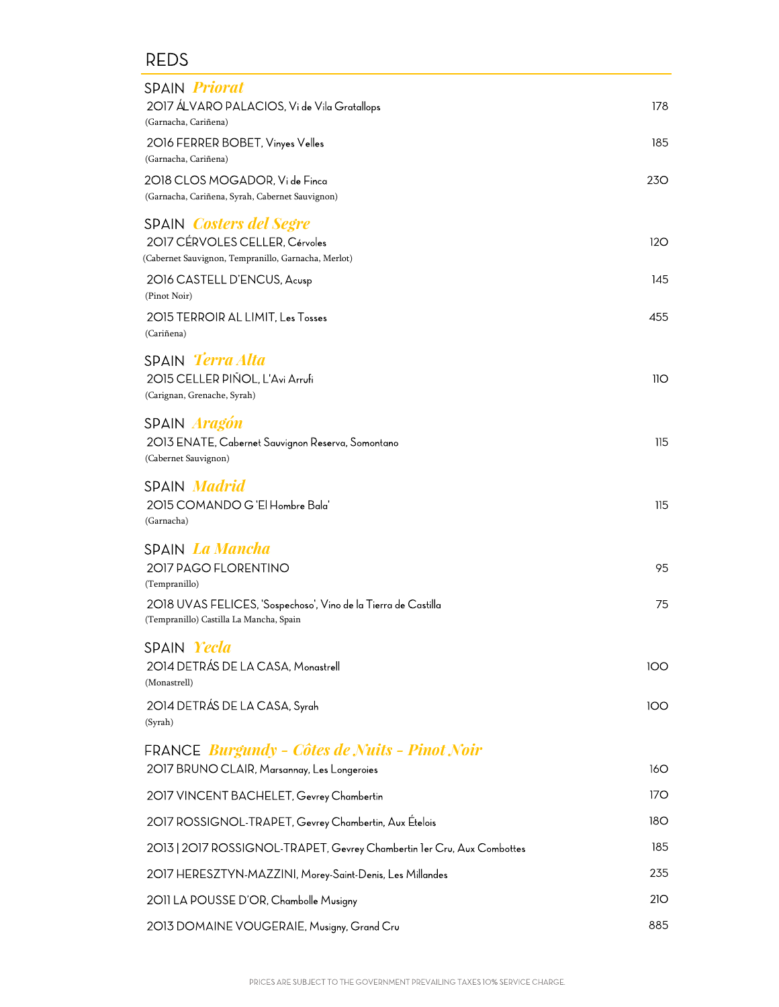| SPAIN <i>Priorat</i><br>2017 ÁLVARO PALACIOS, Vi de Vila Gratallops                                                                                                          | 178        |
|------------------------------------------------------------------------------------------------------------------------------------------------------------------------------|------------|
| (Garnacha, Cariñena)<br>2016 FERRER BOBET, Vinyes Velles<br>(Garnacha, Cariñena)                                                                                             | 185        |
| 2018 CLOS MOGADOR, Vi de Finca<br>(Garnacha, Cariñena, Syrah, Cabernet Sauvignon)                                                                                            | 230        |
| SPAIN <i>Costers del Segre</i><br>2017 CÉRVOLES CELLER, Cérvoles<br>(Cabernet Sauvignon, Tempranillo, Garnacha, Merlot)                                                      | 120        |
| 2016 CASTELL D'ENCUS, Acusp<br>(Pinot Noir)<br>2015 TERROIR AL LIMIT, Les Tosses<br>(Cariñena)                                                                               | 145<br>455 |
| SPAIN <i>Terra Alta</i><br>2015 CELLER PIÑOL, L'Avi Arrufi<br>(Carignan, Grenache, Syrah)                                                                                    | 110        |
| SPAIN <i>Aragón</i><br>2013 ENATE, Cabernet Sauvignon Reserva, Somontano<br>(Cabernet Sauvignon)                                                                             | 115        |
| SPAIN <i>Madrid</i><br>2015 COMANDO G'El Hombre Bala'<br>(Garnacha)                                                                                                          | 115        |
| SPAIN <i>La Mancha</i><br>2017 PAGO FLORENTINO<br>(Tempranillo)<br>2018 UVAS FELICES, 'Sospechoso', Vino de la Tierra de Castilla<br>(Tempranillo) Castilla La Mancha, Spain | 95<br>75   |
| SPAIN Yecla<br>2014 DETRÁS DE LA CASA, Monastrell<br>(Monastrell)                                                                                                            | 100        |
| 2014 DETRÁS DE LA CASA, Syrah<br>(Syrah)                                                                                                                                     | 100        |
| FRANCE <i>Burgundy - Côtes de Nuits - Pinot Noir</i><br>2017 BRUNO CLAIR, Marsannay, Les Longeroies                                                                          | 160        |
| 2017 VINCENT BACHELET, Gevrey Chambertin                                                                                                                                     | 170        |
| 2017 ROSSIGNOL-TRAPET, Gevrey Chambertin, Aux Ételois                                                                                                                        | 180        |
| 2013   2017 ROSSIGNOL-TRAPET, Gevrey Chambertin ler Cru, Aux Combottes                                                                                                       | 185        |
| 2017 HERESZTYN-MAZZINI, Morey-Saint-Denis, Les Millandes                                                                                                                     | 235        |
| 2011 LA POUSSE D'OR, Chambolle Musigny                                                                                                                                       | 21O        |
| 2013 DOMAINE VOUGERAIE, Musigny, Grand Cru                                                                                                                                   | 885        |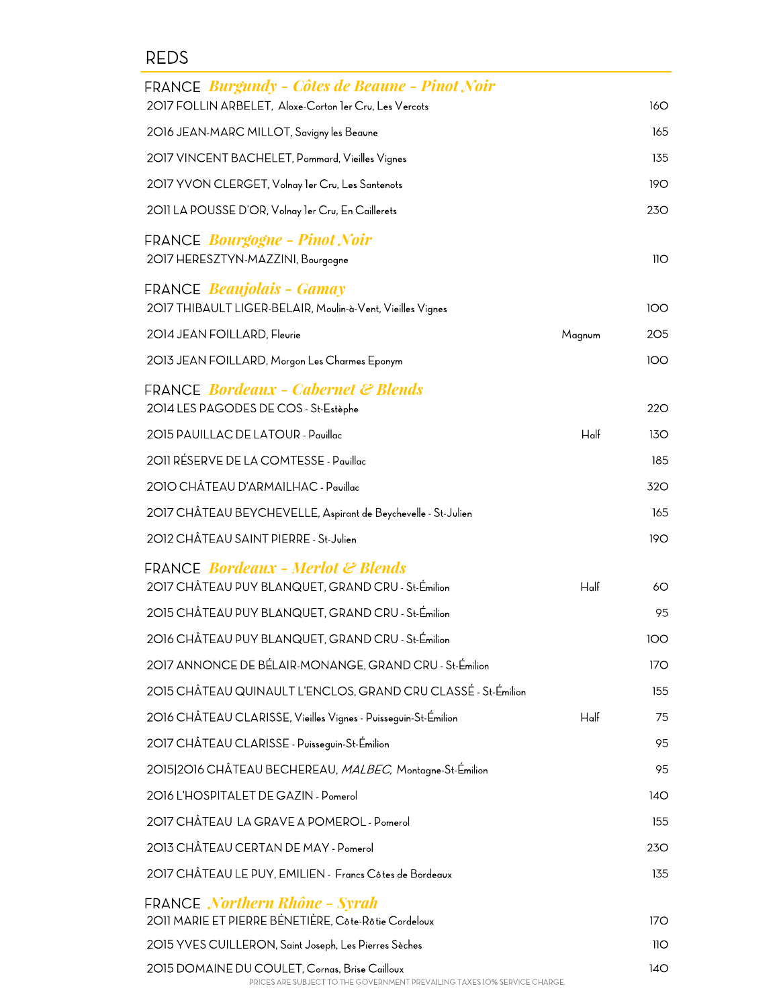| FRANCE <i>Burgundy - Côtes de Beaune - Pinot Noir</i><br>2017 FOLLIN ARBELET, Aloxe-Corton ler Cru, Les Vercots |         | 160        |
|-----------------------------------------------------------------------------------------------------------------|---------|------------|
| 2016 JEAN-MARC MILLOT, Savigny les Beaune                                                                       |         | 165        |
| 2017 VINCENT BACHELET, Pommard, Vieilles Vignes                                                                 |         | 135        |
| 2017 YVON CLERGET, Volnay ler Cru, Les Santenots                                                                |         | 19O        |
| 2011 LA POUSSE D'OR, Volnay 1er Cru, En Caillerets                                                              |         | 230        |
| FRANCE <i>Bourgogne - Pinot Noir</i><br>2017 HERESZTYN-MAZZINI, Bourgogne                                       |         | 11O        |
| <b>FRANCE Beaujolais - Gamay</b><br>2017 THIBAULT LIGER-BELAIR, Moulin-à-Vent, Vieilles Vignes                  |         | <b>100</b> |
| 2014 JEAN FOILLARD, Fleurie                                                                                     | Magnum  | 205        |
| 2013 JEAN FOILLARD, Morgon Les Charmes Eponym                                                                   |         | 100        |
| <b>FRANCE Bordeaux - Cabernet &amp; Blends</b><br>2014 LES PAGODES DE COS - St-Estèphe                          |         | <b>220</b> |
| 2015 PAUILLAC DE LATOUR - Pauillac                                                                              | $H$ alf | 130        |
| 2011 RÉSERVE DE LA COMTESSE - Pauillac                                                                          |         | 185        |
| 2010 CHÂTEAU D'ARMAILHAC - Pauillac                                                                             |         | 320        |
| 2017 CHÂTEAU BEYCHEVELLE, Aspirant de Beychevelle - St-Julien                                                   |         | 165        |
| 2012 CHÂTEAU SAINT PIERRE - St-Julien                                                                           |         | 190        |
| <b>FRANCE Bordeaux - Merlot &amp; Blends</b><br>2017 CHÂTEAU PUY BLANQUET, GRAND CRU - St-Émilion               | $H$ alf | 60         |
| 2015 CHÂTEAU PUY BLANQUET, GRAND CRU - St-Émilion                                                               |         | 95         |
| 2016 CHÂTEAU PUY BLANQUET, GRAND CRU - St-Émilion                                                               |         | <b>100</b> |
| 2017 ANNONCE DE BÉLAIR-MONANGE, GRAND CRU - St-Émilion                                                          |         | 170        |
| 2015 CHÂTEAU QUINAULT L'ENCLOS, GRAND CRU CLASSÉ - St-Émilion                                                   |         | 155        |
| 2016 CHÂTEAU CLARISSE, Vieilles Vignes - Puisseguin-St-Émilion                                                  | $H$ alf | 75         |
| 2017 CHÂTEAU CLARISSE - Puisseguin-St-Émilion                                                                   |         | 95         |
| 2015 2016 CHÂTEAU BECHEREAU, MALBEC, Montagne-St-Émilion                                                        |         | 95         |
| 2016 L'HOSPITALET DE GAZIN - Pomerol                                                                            |         | 140        |
| 2017 CHÂTEAU LA GRAVE A POMEROL - Pomerol                                                                       |         | 155        |
| 2013 CHÂTEAU CERTAN DE MAY - Pomerol                                                                            |         | 23O        |
| 2017 CHÂTEAU LE PUY, EMILIEN - Francs Côtes de Bordeaux                                                         |         | 135        |
| FRANCE Northern Rhône - Syrah<br>2011 MARIE ET PIERRE BÉNETIÈRE, Côte-Rôtie Cordeloux                           |         | 170        |
| 2015 YVES CUILLERON, Saint Joseph, Les Pierres Sèches                                                           |         | 11O        |
| 2015 DOMAINE DU COULET, Cornas, Brise Cailloux                                                                  |         | 14O        |

PRICES ARE SUBJECT TO THE GOVERNMENT PREVAILING TAXES 10% SERVICE CHARGE.